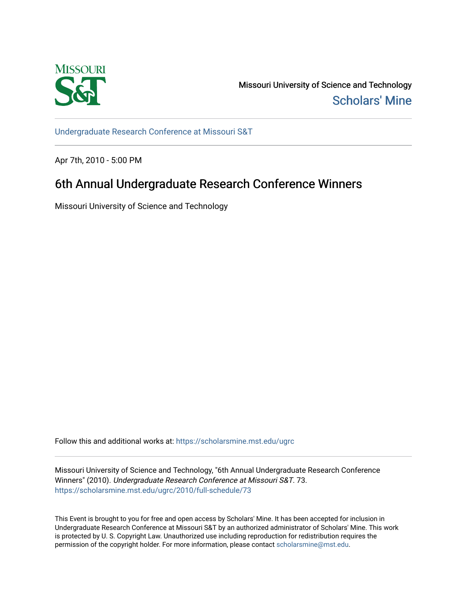

Missouri University of Science and Technology [Scholars' Mine](https://scholarsmine.mst.edu/) 

[Undergraduate Research Conference at Missouri S&T](https://scholarsmine.mst.edu/ugrc)

Apr 7th, 2010 - 5:00 PM

# 6th Annual Undergraduate Research Conference Winners

Missouri University of Science and Technology

Follow this and additional works at: [https://scholarsmine.mst.edu/ugrc](https://scholarsmine.mst.edu/ugrc?utm_source=scholarsmine.mst.edu%2Fugrc%2F2010%2Ffull-schedule%2F73&utm_medium=PDF&utm_campaign=PDFCoverPages) 

Missouri University of Science and Technology, "6th Annual Undergraduate Research Conference Winners" (2010). Undergraduate Research Conference at Missouri S&T. 73. [https://scholarsmine.mst.edu/ugrc/2010/full-schedule/73](https://scholarsmine.mst.edu/ugrc/2010/full-schedule/73?utm_source=scholarsmine.mst.edu%2Fugrc%2F2010%2Ffull-schedule%2F73&utm_medium=PDF&utm_campaign=PDFCoverPages) 

This Event is brought to you for free and open access by Scholars' Mine. It has been accepted for inclusion in Undergraduate Research Conference at Missouri S&T by an authorized administrator of Scholars' Mine. This work is protected by U. S. Copyright Law. Unauthorized use including reproduction for redistribution requires the permission of the copyright holder. For more information, please contact [scholarsmine@mst.edu](mailto:scholarsmine@mst.edu).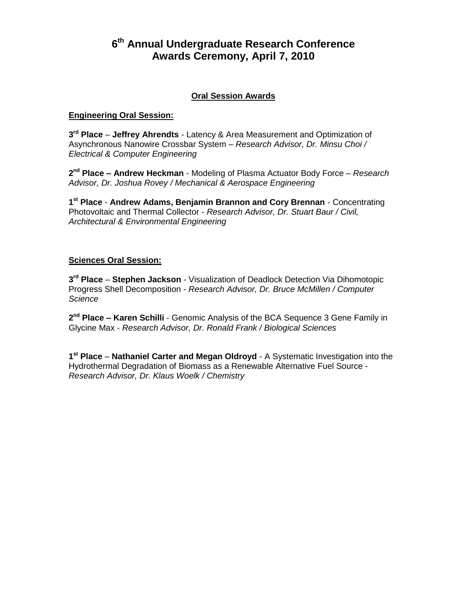# **6 th Annual Undergraduate Research Conference Awards Ceremony, April 7, 2010**

# **Oral Session Awards**

# **Engineering Oral Session:**

**3 rd Place** – **Jeffrey Ahrendts** - Latency & Area Measurement and Optimization of Asynchronous Nanowire Crossbar System – *Research Advisor, Dr. Minsu Choi / Electrical & Computer Engineering*

**2 nd Place – Andrew Heckman** - Modeling of Plasma Actuator Body Force – *Research Advisor, Dr. Joshua Rovey / Mechanical & Aerospace Engineering*

**1 st Place** - **Andrew Adams, Benjamin Brannon and Cory Brennan** - Concentrating Photovoltaic and Thermal Collector - *Research Advisor, Dr. Stuart Baur / Civil, Architectural & Environmental Engineering*

#### **Sciences Oral Session:**

**3 rd Place** – **Stephen Jackson** - Visualization of Deadlock Detection Via Dihomotopic Progress Shell Decomposition - *Research Advisor, Dr. Bruce McMillen / Computer Science*

**2 nd Place – Karen Schilli** - Genomic Analysis of the BCA Sequence 3 Gene Family in Glycine Max - *Research Advisor, Dr. Ronald Frank / Biological Sciences*

**1 st Place** – **Nathaniel Carter and Megan Oldroyd** - A Systematic Investigation into the Hydrothermal Degradation of Biomass as a Renewable Alternative Fuel Source - *Research Advisor, Dr. Klaus Woelk / Chemistry*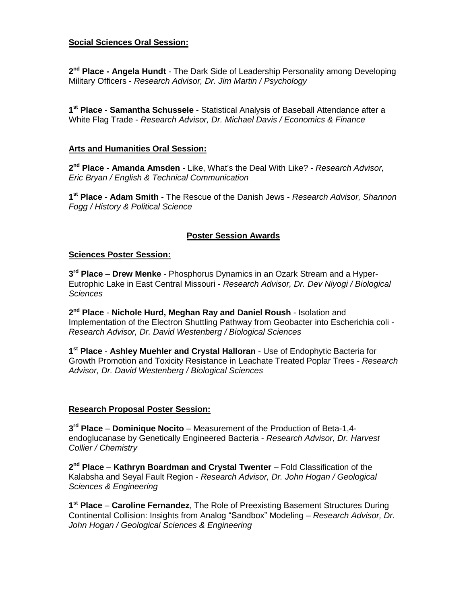# **Social Sciences Oral Session:**

2<sup>nd</sup> Place - Angela Hundt - The Dark Side of Leadership Personality among Developing Military Officers - *Research Advisor, Dr. Jim Martin / Psychology*

**1 st Place** - **Samantha Schussele** - Statistical Analysis of Baseball Attendance after a White Flag Trade - *Research Advisor, Dr. Michael Davis / Economics & Finance*

#### **Arts and Humanities Oral Session:**

**2 nd Place - Amanda Amsden** - Like, What's the Deal With Like? - *Research Advisor, Eric Bryan / English & Technical Communication*

**1 st Place - Adam Smith** - The Rescue of the Danish Jews - *Research Advisor, Shannon Fogg / History & Political Science*

# **Poster Session Awards**

#### **Sciences Poster Session:**

**3 rd Place** – **Drew Menke** - Phosphorus Dynamics in an Ozark Stream and a Hyper-Eutrophic Lake in East Central Missouri - *Research Advisor, Dr. Dev Niyogi / Biological Sciences*

**2 nd Place** - **Nichole Hurd, Meghan Ray and Daniel Roush** - Isolation and Implementation of the Electron Shuttling Pathway from Geobacter into Escherichia coli - *Research Advisor, Dr. David Westenberg / Biological Sciences*

**1 st Place** - **Ashley Muehler and Crystal Halloran** - Use of Endophytic Bacteria for Growth Promotion and Toxicity Resistance in Leachate Treated Poplar Trees - *Research Advisor, Dr. David Westenberg / Biological Sciences*

# **Research Proposal Poster Session:**

**3 rd Place** – **Dominique Nocito** – Measurement of the Production of Beta-1,4 endoglucanase by Genetically Engineered Bacteria - *Research Advisor, Dr. Harvest Collier / Chemistry*

**2 nd Place** – **Kathryn Boardman and Crystal Twenter** – Fold Classification of the Kalabsha and Seyal Fault Region - *Research Advisor, Dr. John Hogan / Geological Sciences & Engineering*

**1 st Place** – **Caroline Fernandez**, The Role of Preexisting Basement Structures During Continental Collision: Insights from Analog "Sandbox" Modeling – *Research Advisor, Dr. John Hogan / Geological Sciences & Engineering*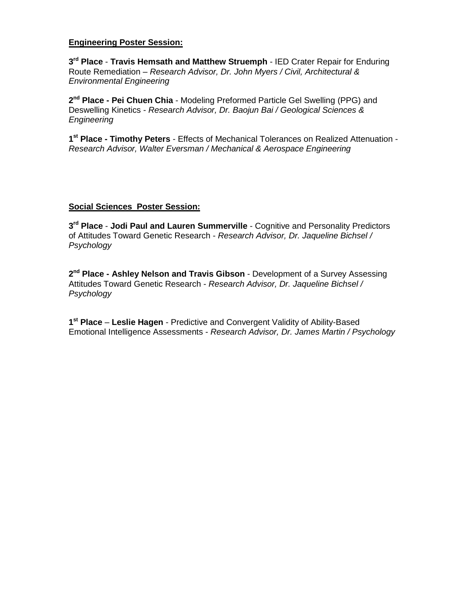#### **Engineering Poster Session:**

**3 rd Place** - **Travis Hemsath and Matthew Struemph** - IED Crater Repair for Enduring Route Remediation – *Research Advisor, Dr. John Myers / Civil, Architectural & Environmental Engineering*

2<sup>nd</sup> Place - Pei Chuen Chia - Modeling Preformed Particle Gel Swelling (PPG) and Deswelling Kinetics - *Research Advisor, Dr. Baojun Bai / Geological Sciences & Engineering*

**1 st Place - Timothy Peters** - Effects of Mechanical Tolerances on Realized Attenuation - *Research Advisor, Walter Eversman / Mechanical & Aerospace Engineering*

#### **Social Sciences Poster Session:**

**3 rd Place** - **Jodi Paul and Lauren Summerville** - Cognitive and Personality Predictors of Attitudes Toward Genetic Research - *Research Advisor, Dr. Jaqueline Bichsel / Psychology*

2<sup>nd</sup> Place - Ashley Nelson and Travis Gibson - Development of a Survey Assessing Attitudes Toward Genetic Research - *Research Advisor, Dr. Jaqueline Bichsel / Psychology*

**1 st Place** – **Leslie Hagen** - Predictive and Convergent Validity of Ability-Based Emotional Intelligence Assessments - *Research Advisor, Dr. James Martin / Psychology*